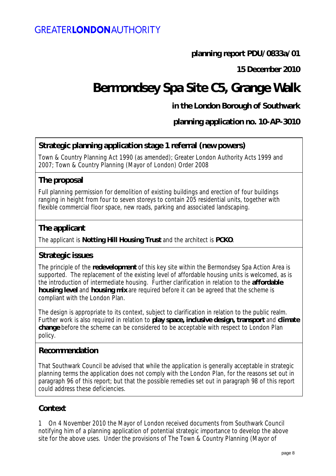# **planning report PDU/0833a/01**

**15 December 2010**

# **Bermondsey Spa Site C5, Grange Walk**

# **in the London Borough of Southwark**

**planning application no. 10-AP-3010**

# **Strategic planning application stage 1 referral (new powers)**

Town & Country Planning Act 1990 (as amended); Greater London Authority Acts 1999 and 2007; Town & Country Planning (Mayor of London) Order 2008

## **The proposal**

Full planning permission for demolition of existing buildings and erection of four buildings ranging in height from four to seven storeys to contain 205 residential units, together with flexible commercial floor space, new roads, parking and associated landscaping.

## **The applicant**

The applicant is **Notting Hill Housing Trust** and the architect is **PCKO**.

## **Strategic issues**

The principle of the **redevelopment** of this key site within the Bermondsey Spa Action Area is supported. The replacement of the existing level of affordable housing units is welcomed, as is the introduction of intermediate housing. Further clarification in relation to the **affordable housing level** and **housing mix** are required before it can be agreed that the scheme is compliant with the London Plan.

The design is appropriate to its context, subject to clarification in relation to the public realm. Further work is also required in relation to **play space, inclusive design, transport** and **climate change** before the scheme can be considered to be acceptable with respect to London Plan policy.

#### **Recommendation**

That Southwark Council be advised that while the application is generally acceptable in strategic planning terms the application does not comply with the London Plan, for the reasons set out in paragraph 96 of this report; but that the possible remedies set out in paragraph 98 of this report could address these deficiencies.

## **Context**

1 On 4 November 2010 the Mayor of London received documents from Southwark Council notifying him of a planning application of potential strategic importance to develop the above site for the above uses. Under the provisions of The Town & Country Planning (Mayor of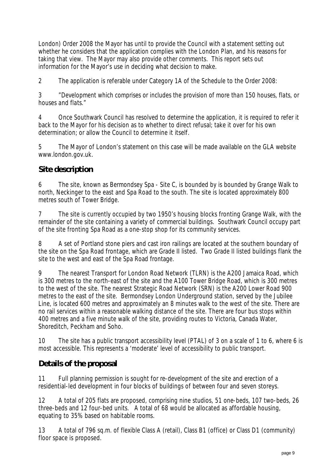London) Order 2008 the Mayor has until to provide the Council with a statement setting out whether he considers that the application complies with the London Plan, and his reasons for taking that view. The Mayor may also provide other comments. This report sets out information for the Mayor's use in deciding what decision to make.

2 The application is referable under Category 1A of the Schedule to the Order 2008:

3 *"Development which comprises or includes the provision of more than 150 houses, flats, or houses and flats."*

4 Once Southwark Council has resolved to determine the application, it is required to refer it back to the Mayor for his decision as to whether to direct refusal; take it over for his own determination; or allow the Council to determine it itself.

5 The Mayor of London's statement on this case will be made available on the GLA website www.london.gov.uk.

# **Site description**

6 The site, known as Bermondsey Spa - Site C, is bounded by is bounded by Grange Walk to north, Neckinger to the east and Spa Road to the south. The site is located approximately 800 metres south of Tower Bridge.

7 The site is currently occupied by two 1950's housing blocks fronting Grange Walk, with the remainder of the site containing a variety of commercial buildings. Southwark Council occupy part of the site fronting Spa Road as a one-stop shop for its community services.

8 A set of Portland stone piers and cast iron railings are located at the southern boundary of the site on the Spa Road frontage, which are Grade II listed. Two Grade II listed buildings flank the site to the west and east of the Spa Road frontage.

9 The nearest Transport for London Road Network (TLRN) is the A200 Jamaica Road, which is 300 metres to the north-east of the site and the A100 Tower Bridge Road, which is 300 metres to the west of the site. The nearest Strategic Road Network (SRN) is the A200 Lower Road 900 metres to the east of the site. Bermondsey London Underground station, served by the Jubilee Line, is located 600 metres and approximately an 8 minutes walk to the west of the site. There are no rail services within a reasonable walking distance of the site. There are four bus stops within 400 metres and a five minute walk of the site, providing routes to Victoria, Canada Water, Shoreditch, Peckham and Soho.

10 The site has a public transport accessibility level (PTAL) of 3 on a scale of 1 to 6, where 6 is most accessible. This represents a 'moderate' level of accessibility to public transport.

# **Details of the proposal**

11 Full planning permission is sought for re-development of the site and erection of a residential-led development in four blocks of buildings of between four and seven storeys.

12 A total of 205 flats are proposed, comprising nine studios, 51 one-beds, 107 two-beds, 26 three-beds and 12 four-bed units. A total of 68 would be allocated as affordable housing, equating to 35% based on habitable rooms.

13 A total of 796 sq.m. of flexible Class A (retail), Class B1 (office) or Class D1 (community) floor space is proposed.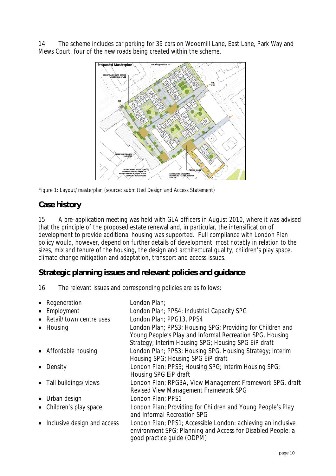14 The scheme includes car parking for 39 cars on Woodmill Lane, East Lane, Park Way and Mews Court, four of the new roads being created within the scheme.



Figure 1: Layout/masterplan (source: submitted Design and Access Statement)

## **Case history**

15 A pre-application meeting was held with GLA officers in August 2010, where it was advised that the principle of the proposed estate renewal and, in particular, the intensification of development to provide additional housing was supported. Full compliance with London Plan policy would, however, depend on further details of development, most notably in relation to the sizes, mix and tenure of the housing, the design and architectural quality, children's play space, climate change mitigation and adaptation, transport and access issues.

## **Strategic planning issues and relevant policies and guidance**

16 The relevant issues and corresponding policies are as follows:

| • Regeneration              | London Plan;                                                                                                                                                                   |
|-----------------------------|--------------------------------------------------------------------------------------------------------------------------------------------------------------------------------|
| • Employment                | London Plan; PPS4; Industrial Capacity SPG                                                                                                                                     |
| • Retail/town centre uses   | London Plan; PPG13, PPS4                                                                                                                                                       |
| • Housing                   | London Plan; PPS3; Housing SPG; Providing for Children and<br>Young People's Play and Informal Recreation SPG, Housing<br>Strategy; Interim Housing SPG; Housing SPG EiP draft |
| • Affordable housing        | London Plan; PPS3; Housing SPG, Housing Strategy; Interim<br>Housing SPG; Housing SPG EiP draft                                                                                |
| Density                     | London Plan; PPS3; Housing SPG; Interim Housing SPG;<br>Housing SPG EiP draft                                                                                                  |
| • Tall buildings/views      | London Plan; RPG3A, View Management Framework SPG, draft<br>Revised View Management Framework SPG                                                                              |
| • Urban design              | London Plan; PPS1                                                                                                                                                              |
| • Children's play space     | London Plan; Providing for Children and Young People's Play<br>and Informal Recreation SPG                                                                                     |
| Inclusive design and access | London Plan; PPS1; Accessible London: achieving an inclusive<br>environment SPG; Planning and Access for Disabled People: a<br>good practice guide (ODPM)                      |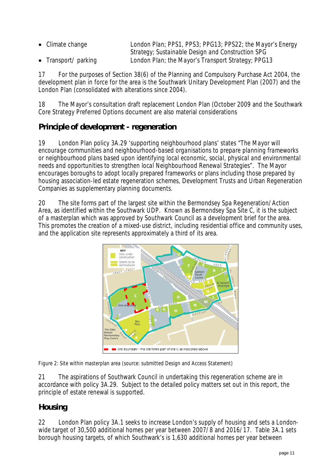| $\bullet$ Climate change | London Plan; PPS1, PPS3; PPG13; PPS22; the Mayor's Energy |
|--------------------------|-----------------------------------------------------------|
|                          | Strategy; Sustainable Design and Construction SPG         |
| • Transport/parking      | London Plan; the Mayor's Transport Strategy; PPG13        |

17 For the purposes of Section 38(6) of the Planning and Compulsory Purchase Act 2004, the development plan in force for the area is the Southwark Unitary Development Plan (2007) and the London Plan (consolidated with alterations since 2004).

18 The Mayor's consultation draft replacement London Plan (October 2009 and the Southwark Core Strategy Preferred Options document are also material considerations

# **Principle of development - regeneration**

19 London Plan policy 3A.29 'supporting neighbourhood plans' states "*The Mayor will encourage communities and neighbourhood-based organisations to prepare planning frameworks or neighbourhood plans based upon identifying local economic, social, physical and environmental needs and opportunities to strengthen local Neighbourhood Renewal Strategies*". The Mayor encourages boroughs to adopt locally prepared frameworks or plans including those prepared by housing association-led estate regeneration schemes, Development Trusts and Urban Regeneration Companies as supplementary planning documents.

20 The site forms part of the largest site within the Bermondsey Spa Regeneration/Action Area, as identified within the Southwark UDP. Known as Bermondsey Spa Site C, it is the subject of a masterplan which was approved by Southwark Council as a development brief for the area. This promotes the creation of a mixed-use district, including residential office and community uses, and the application site represents approximately a third of its area.



Figure 2: Site within masterplan area (source: submitted Design and Access Statement)

21 The aspirations of Southwark Council in undertaking this regeneration scheme are in accordance with policy 3A.29. Subject to the detailed policy matters set out in this report, the principle of estate renewal is supported.

# **Housing**

22 London Plan policy 3A.1 seeks to increase London's supply of housing and sets a Londonwide target of 30,500 additional homes per year between 2007/8 and 2016/17. Table 3A.1 sets borough housing targets, of which Southwark's is 1,630 additional homes per year between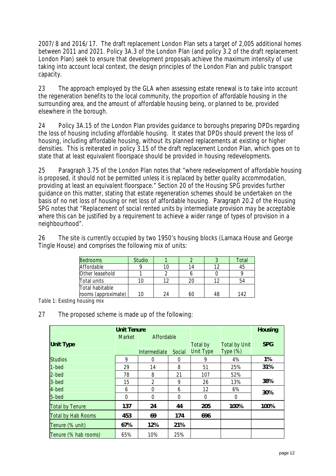2007/8 and 2016/17. The draft replacement London Plan sets a target of 2,005 additional homes between 2011 and 2021. Policy 3A.3 of the London Plan (and policy 3.2 of the draft replacement London Plan) seek to ensure that development proposals achieve the maximum intensity of use taking into account local context, the design principles of the London Plan and public transport capacity.

23 The approach employed by the GLA when assessing estate renewal is to take into account the regeneration benefits to the local community, the proportion of affordable housing in the surrounding area, and the amount of affordable housing being, or planned to be, provided elsewhere in the borough.

24 Policy 3A.15 of the London Plan provides guidance to boroughs preparing DPDs regarding the loss of housing including affordable housing. It states that DPDs should prevent the loss of housing, including affordable housing, without its planned replacements at existing or higher densities. This is reiterated in policy 3.15 of the draft replacement London Plan, which goes on to state that at least equivalent floorspace should be provided in housing redevelopments.

25 Paragraph 3.75 of the London Plan notes that *"where redevelopment of affordable housing is proposed, it should not be permitted unless it is replaced by better quality accommodation, providing at least an equivalent floorspace."* Section 20 of the Housing SPG provides further guidance on this matter, stating that estate regeneration schemes should be undertaken on the basis of no net loss of housing or net loss of affordable housing. Paragraph 20.2 of the Housing SPG notes that *"Replacement of social rented units by intermediate provision may be acceptable where this can be justified by a requirement to achieve a wider range of types of provision in a neighbourhood".* 

26 The site is currently occupied by two 1950's housing blocks (Larnaca House and George Tingle House) and comprises the following mix of units:

| <b>Bedrooms</b>                        | <b>Studio</b> |    |     | Total |
|----------------------------------------|---------------|----|-----|-------|
| Affordable                             |               |    | 1 ว | 45    |
| Other leasehold                        |               |    |     |       |
| Total units                            |               |    |     | 54    |
| Total habitable<br>rooms (approximate) | 10            | 24 | 48  | 142   |

*Table 1: Existing housing mix*

27 The proposed scheme is made up of the following:

| <b>Unit Tenure</b>        |               |              |        |                  |                      | <b>Housing</b> |
|---------------------------|---------------|--------------|--------|------------------|----------------------|----------------|
|                           | <b>Market</b> | Affordable   |        |                  |                      |                |
| <b>Unit Type</b>          |               |              |        | <b>Total by</b>  | <b>Total by Unit</b> | <b>SPG</b>     |
|                           |               | Intermediate | Social | <b>Unit Type</b> | Type $(\%)$          |                |
| <b>Studios</b>            | 9             | $\Omega$     | 0      | 9                | 4%                   | 1%             |
| $1 - bed$                 | 29            | 14           | 8      | 51               | 25%                  | 31%            |
| 2-bed                     | 78            | 8            | 21     | 107              | 52%                  |                |
| 3-bed                     | 15            | 2            | 9      | 26               | 13%                  | 38%            |
| 4-bed                     | 6             | $\Omega$     | 6      | 12               | 6%                   | 30%            |
| 5-bed                     | 0             | $\Omega$     | 0      | $\theta$         | 0                    |                |
| <b>Total by Tenure</b>    | 137           | 24           | 44     | 205              | 100%                 | 100%           |
| <b>Total by Hab Rooms</b> | 453           | 69           | 174    | 696              |                      |                |
| Tenure (% unit)           | 67%           | 12%          | 21%    |                  |                      |                |
| Tenure (% hab rooms)      | 65%           | 10%          | 25%    |                  |                      |                |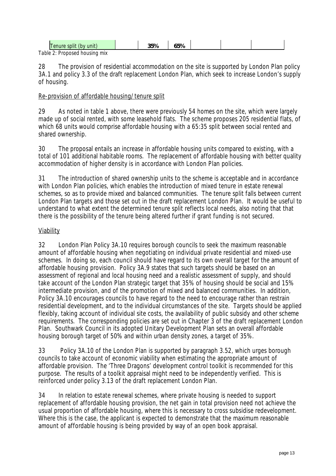| Tenure split (by unit)        | 35% | 65% |  |  |
|-------------------------------|-----|-----|--|--|
| Table 2: Proposed housing mix |     |     |  |  |

28 The provision of residential accommodation on the site is supported by London Plan policy 3A.1 and policy 3.3 of the draft replacement London Plan, which seek to increase London's supply of housing.

Re-provision of affordable housing/tenure split

29 As noted in table 1 above, there were previously 54 homes on the site, which were largely made up of social rented, with some leasehold flats. The scheme proposes 205 residential flats, of which 68 units would comprise affordable housing with a 65:35 split between social rented and shared ownership.

30 The proposal entails an increase in affordable housing units compared to existing, with a total of 101 additional habitable rooms. The replacement of affordable housing with better quality accommodation of higher density is in accordance with London Plan policies.

31 The introduction of shared ownership units to the scheme is acceptable and in accordance with London Plan policies, which enables the introduction of mixed tenure in estate renewal schemes, so as to provide mixed and balanced communities. The tenure split falls between current London Plan targets and those set out in the draft replacement London Plan. It would be useful to understand to what extent the determined tenure split reflects local needs, also noting that that there is the possibility of the tenure being altered further if grant funding is not secured.

## **Viability**

32 London Plan Policy 3A.10 requires borough councils to seek the maximum reasonable amount of affordable housing when negotiating on individual private residential and mixed-use schemes. In doing so, each council should have regard to its own overall target for the amount of affordable housing provision. Policy 3A.9 states that such targets should be based on an assessment of regional and local housing need and a realistic assessment of supply, and should take account of the London Plan strategic target that 35% of housing should be social and 15% intermediate provision, and of the promotion of mixed and balanced communities. In addition, Policy 3A.10 encourages councils to have regard to the need to encourage rather than restrain residential development, and to the individual circumstances of the site. Targets should be applied flexibly, taking account of individual site costs, the availability of public subsidy and other scheme requirements. The corresponding policies are set out in Chapter 3 of the draft replacement London Plan. Southwark Council in its adopted Unitary Development Plan sets an overall affordable housing borough target of 50% and within urban density zones, a target of 35%.

33 Policy 3A.10 of the London Plan is supported by paragraph 3.52, which urges borough councils to take account of economic viability when estimating the appropriate amount of affordable provision. The 'Three Dragons' development control toolkit is recommended for this purpose. The results of a toolkit appraisal might need to be independently verified. This is reinforced under policy 3.13 of the draft replacement London Plan.

34 In relation to estate renewal schemes, where private housing is needed to support replacement of affordable housing provision, the net gain in total provision need not achieve the usual proportion of affordable housing, where this is necessary to cross subsidise redevelopment. Where this is the case, the applicant is expected to demonstrate that the maximum reasonable amount of affordable housing is being provided by way of an open book appraisal.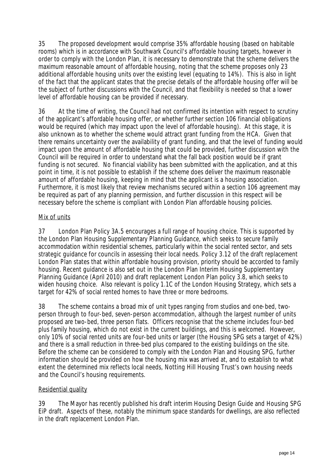35 The proposed development would comprise 35% affordable housing (based on habitable rooms) which is in accordance with Southwark Council's affordable housing targets, however in order to comply with the London Plan, it is necessary to demonstrate that the scheme delivers the maximum reasonable amount of affordable housing, noting that the scheme proposes only 23 additional affordable housing units over the existing level (equating to 14%). This is also in light of the fact that the applicant states that the precise details of the affordable housing offer will be the subject of further discussions with the Council, and that flexibility is needed so that a lower level of affordable housing can be provided if necessary.

36 At the time of writing, the Council had not confirmed its intention with respect to scrutiny of the applicant's affordable housing offer, or whether further section 106 financial obligations would be required (which may impact upon the level of affordable housing). At this stage, it is also unknown as to whether the scheme would attract grant funding from the HCA. Given that there remains uncertainty over the availability of grant funding, and that the level of funding would impact upon the amount of affordable housing that could be provided, further discussion with the Council will be required in order to understand what the fall back position would be if grant funding is not secured. No financial viability has been submitted with the application, and at this point in time, it is not possible to establish if the scheme does deliver the maximum reasonable amount of affordable housing, keeping in mind that the applicant is a housing association. Furthermore, it is most likely that review mechanisms secured within a section 106 agreement may be required as part of any planning permission, and further discussion in this respect will be necessary before the scheme is compliant with London Plan affordable housing policies.

#### Mix of units

37 London Plan Policy 3A.5 encourages a full range of housing choice. This is supported by the London Plan Housing Supplementary Planning Guidance, which seeks to secure family accommodation within residential schemes, particularly within the social rented sector, and sets strategic guidance for councils in assessing their local needs. Policy 3.12 of the draft replacement London Plan states that within affordable housing provision, priority should be accorded to family housing. Recent guidance is also set out in the London Plan Interim Housing Supplementary Planning Guidance (April 2010) and draft replacement London Plan policy 3.8, which seeks to widen housing choice. Also relevant is policy 1.1C of the London Housing Strategy, which sets a target for 42% of social rented homes to have three or more bedrooms.

38 The scheme contains a broad mix of unit types ranging from studios and one-bed, twoperson through to four-bed, seven-person accommodation, although the largest number of units proposed are two-bed, three person flats. Officers recognise that the scheme includes four-bed plus family housing, which do not exist in the current buildings, and this is welcomed. However, only 10% of social rented units are four-bed units or larger (the Housing SPG sets a target of 42%) and there is a small reduction in three-bed plus compared to the existing buildings on the site. Before the scheme can be considered to comply with the London Plan and Housing SPG, further information should be provided on how the housing mix was arrived at, and to establish to what extent the determined mix reflects local needs, Notting Hill Housing Trust's own housing needs and the Council's housing requirements.

#### Residential quality

39 The Mayor has recently published his draft interim Housing Design Guide and Housing SPG EiP draft. Aspects of these, notably the minimum space standards for dwellings, are also reflected in the draft replacement London Plan.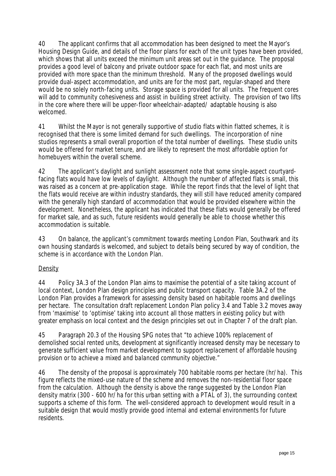40 The applicant confirms that all accommodation has been designed to meet the Mayor's Housing Design Guide, and details of the floor plans for each of the unit types have been provided, which shows that all units exceed the minimum unit areas set out in the guidance. The proposal provides a good level of balcony and private outdoor space for each flat, and most units are provided with more space than the minimum threshold. Many of the proposed dwellings would provide dual-aspect accommodation, and units are for the most part, regular-shaped and there would be no solely north-facing units. Storage space is provided for all units. The frequent cores will add to community cohesiveness and assist in building street activity. The provision of two lifts in the core where there will be upper-floor wheelchair-adapted/ adaptable housing is also welcomed.

41 Whilst the Mayor is not generally supportive of studio flats within flatted schemes, it is recognised that there is some limited demand for such dwellings. The incorporation of nine studios represents a small overall proportion of the total number of dwellings. These studio units would be offered for market tenure, and are likely to represent the most affordable option for homebuyers within the overall scheme.

42 The applicant's daylight and sunlight assessment note that some single-aspect courtyardfacing flats would have low levels of daylight. Although the number of affected flats is small, this was raised as a concern at pre-application stage. While the report finds that the level of light that the flats would receive are within industry standards, they will still have reduced amenity compared with the generally high standard of accommodation that would be provided elsewhere within the development. Nonetheless, the applicant has indicated that these flats would generally be offered for market sale, and as such, future residents would generally be able to choose whether this accommodation is suitable.

43 On balance, the applicant's commitment towards meeting London Plan, Southwark and its own housing standards is welcomed, and subject to details being secured by way of condition, the scheme is in accordance with the London Plan.

## **Density**

44 Policy 3A.3 of the London Plan aims to maximise the potential of a site taking account of local context, London Plan design principles and public transport capacity. Table 3A.2 of the London Plan provides a framework for assessing density based on habitable rooms and dwellings per hectare. The consultation draft replacement London Plan policy 3.4 and Table 3.2 moves away from 'maximise' to 'optimise' taking into account all those matters in existing policy but with greater emphasis on local context and the design principles set out in Chapter 7 of the draft plan.

45 Paragraph 20.3 of the Housing SPG notes *that "to achieve 100% replacement of demolished social rented units, development at significantly increased density may be necessary to generate sufficient value from market development to support replacement of affordable housing provision or to achieve a mixed and balanced community objective."*

46 The density of the proposal is approximately 700 habitable rooms per hectare (hr/ha). This figure reflects the mixed-use nature of the scheme and removes the non-residential floor space from the calculation. Although the density is above the range suggested by the London Plan density matrix (300 - 600 hr/ha for this urban setting with a PTAL of 3), the surrounding context supports a scheme of this form. The well-considered approach to development would result in a suitable design that would mostly provide good internal and external environments for future residents.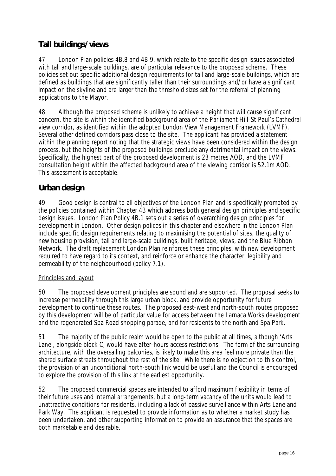# **Tall buildings/views**

47 London Plan policies 4B.8 and 4B.9, which relate to the specific design issues associated with tall and large-scale buildings, are of particular relevance to the proposed scheme. These policies set out specific additional design requirements for tall and large-scale buildings, which are defined as buildings that are significantly taller than their surroundings and/or have a significant impact on the skyline and are larger than the threshold sizes set for the referral of planning applications to the Mayor.

48 Although the proposed scheme is unlikely to achieve a height that will cause significant concern, the site is within the identified background area of the Parliament Hill-St Paul's Cathedral view corridor, as identified within the adopted London View Management Framework (LVMF). Several other defined corridors pass close to the site. The applicant has provided a statement within the planning report noting that the strategic views have been considered within the design process, but the heights of the proposed buildings preclude any detrimental impact on the views. Specifically, the highest part of the proposed development is 23 metres AOD, and the LVMF consultation height within the affected background area of the viewing corridor is 52.1m AOD. This assessment is acceptable.

# **Urban design**

49 Good design is central to all objectives of the London Plan and is specifically promoted by the policies contained within Chapter 4B which address both general design principles and specific design issues. London Plan Policy 4B.1 sets out a series of overarching design principles for development in London. Other design polices in this chapter and elsewhere in the London Plan include specific design requirements relating to maximising the potential of sites, the quality of new housing provision, tall and large-scale buildings, built heritage, views, and the Blue Ribbon Network. The draft replacement London Plan reinforces these principles, with new development required to have regard to its context, and reinforce or enhance the character, legibility and permeability of the neighbourhood (policy 7.1).

## Principles and layout

50 The proposed development principles are sound and are supported. The proposal seeks to increase permeability through this large urban block, and provide opportunity for future development to continue these routes. The proposed east-west and north-south routes proposed by this development will be of particular value for access between the Larnaca Works development and the regenerated Spa Road shopping parade, and for residents to the north and Spa Park.

51 The majority of the public realm would be open to the public at all times, although 'Arts Lane', alongside block C, would have after-hours access restrictions. The form of the surrounding architecture, with the oversailing balconies, is likely to make this area feel more private than the shared surface streets throughout the rest of the site. While there is no objection to this control, the provision of an unconditional north-south link would be useful and the Council is encouraged to explore the provision of this link at the earliest opportunity.

52 The proposed commercial spaces are intended to afford maximum flexibility in terms of their future uses and internal arrangements, but a long-term vacancy of the units would lead to unattractive conditions for residents, including a lack of passive surveillance within Arts Lane and Park Way. The applicant is requested to provide information as to whether a market study has been undertaken, and other supporting information to provide an assurance that the spaces are both marketable and desirable.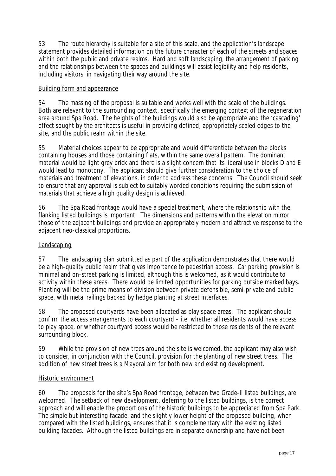53 The route hierarchy is suitable for a site of this scale, and the application's landscape statement provides detailed information on the future character of each of the streets and spaces within both the public and private realms. Hard and soft landscaping, the arrangement of parking and the relationships between the spaces and buildings will assist legibility and help residents, including visitors, in navigating their way around the site.

#### Building form and appearance

54 The massing of the proposal is suitable and works well with the scale of the buildings. Both are relevant to the surrounding context, specifically the emerging context of the regeneration area around Spa Road. The heights of the buildings would also be appropriate and the 'cascading' effect sought by the architects is useful in providing defined, appropriately scaled edges to the site, and the public realm within the site.

55 Material choices appear to be appropriate and would differentiate between the blocks containing houses and those containing flats, within the same overall pattern. The dominant material would be light grey brick and there is a slight concern that its liberal use in blocks D and E would lead to monotony. The applicant should give further consideration to the choice of materials and treatment of elevations, in order to address these concerns. The Council should seek to ensure that any approval is subject to suitably worded conditions requiring the submission of materials that achieve a high quality design is achieved.

56 The Spa Road frontage would have a special treatment, where the relationship with the flanking listed buildings is important. The dimensions and patterns within the elevation mirror those of the adjacent buildings and provide an appropriately modern and attractive response to the adjacent neo-classical proportions.

#### **Landscaping**

57 The landscaping plan submitted as part of the application demonstrates that there would be a high-quality public realm that gives importance to pedestrian access. Car parking provision is minimal and on-street parking is limited, although this is welcomed, as it would contribute to activity within these areas. There would be limited opportunities for parking outside marked bays. Planting will be the prime means of division between private defensible, semi-private and public space, with metal railings backed by hedge planting at street interfaces.

58 The proposed courtyards have been allocated as play space areas. The applicant should confirm the access arrangements to each courtyard – i.e. whether all residents would have access to play space, or whether courtyard access would be restricted to those residents of the relevant surrounding block.

59 While the provision of new trees around the site is welcomed, the applicant may also wish to consider, in conjunction with the Council, provision for the planting of new street trees. The addition of new street trees is a Mayoral aim for both new and existing development.

#### Historic environment

60 The proposals for the site's Spa Road frontage, between two Grade-II listed buildings, are welcomed. The setback of new development, deferring to the listed buildings, is the correct approach and will enable the proportions of the historic buildings to be appreciated from Spa Park. The simple but interesting facade, and the slightly lower height of the proposed building, when compared with the listed buildings, ensures that it is complementary with the existing listed building facades. Although the listed buildings are in separate ownership and have not been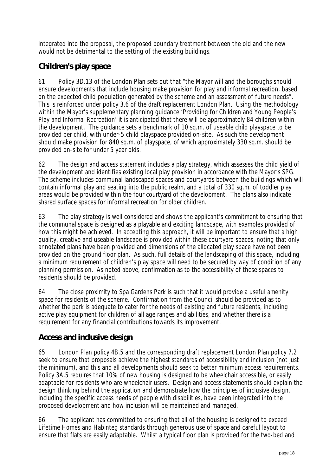integrated into the proposal, the proposed boundary treatment between the old and the new would not be detrimental to the setting of the existing buildings.

# **Children's play space**

61 Policy 3D.13 of the London Plan sets out that "the Mayor will and the boroughs should ensure developments that include housing make provision for play and informal recreation, based on the expected child population generated by the scheme and an assessment of future needs". This is reinforced under policy 3.6 of the draft replacement London Plan. Using the methodology within the Mayor's supplementary planning guidance 'Providing for Children and Young People's Play and Informal Recreation' it is anticipated that there will be approximately 84 children within the development. The guidance sets a benchmark of 10 sq.m. of useable child playspace to be provided per child, with under-5 child playspace provided on-site. As such the development should make provision for 840 sq.m. of playspace, of which approximately 330 sq.m. should be provided on-site for under 5 year olds.

62 The design and access statement includes a play strategy, which assesses the child yield of the development and identifies existing local play provision in accordance with the Mayor's SPG. The scheme includes communal landscaped spaces and courtyards between the buildings which will contain informal play and seating into the public realm, and a total of 330 sq.m. of toddler play areas would be provided within the four courtyard of the development. The plans also indicate shared surface spaces for informal recreation for older children.

63 The play strategy is well considered and shows the applicant's commitment to ensuring that the communal space is designed as a playable and exciting landscape, with examples provided of how this might be achieved. In accepting this approach, it will be important to ensure that a high quality, creative and useable landscape is provided within these courtyard spaces, noting that only annotated plans have been provided and dimensions of the allocated play space have not been provided on the ground floor plan. As such, full details of the landscaping of this space, including a minimum requirement of children's play space will need to be secured by way of condition of any planning permission. As noted above, confirmation as to the accessibility of these spaces to residents should be provided.

64 The close proximity to Spa Gardens Park is such that it would provide a useful amenity space for residents of the scheme. Confirmation from the Council should be provided as to whether the park is adequate to cater for the needs of existing and future residents, including active play equipment for children of all age ranges and abilities, and whether there is a requirement for any financial contributions towards its improvement.

# **Access and inclusive design**

65 London Plan policy 4B.5 and the corresponding draft replacement London Plan policy 7.2 seek to ensure that proposals achieve the highest standards of accessibility and inclusion (not just the minimum), and this and all developments should seek to better minimum access requirements. Policy 3A.5 requires that 10% of new housing is designed to be wheelchair accessible, or easily adaptable for residents who are wheelchair users. Design and access statements should explain the design thinking behind the application and demonstrate how the principles of inclusive design, including the specific access needs of people with disabilities, have been integrated into the proposed development and how inclusion will be maintained and managed.

66 The applicant has committed to ensuring that all of the housing is designed to exceed Lifetime Homes and Habinteg standards through generous use of space and careful layout to ensure that flats are easily adaptable. Whilst a typical floor plan is provided for the two-bed and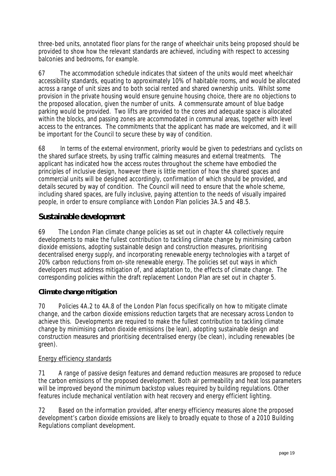three-bed units, annotated floor plans for the range of wheelchair units being proposed should be provided to show how the relevant standards are achieved, including with respect to accessing balconies and bedrooms, for example.

67 The accommodation schedule indicates that sixteen of the units would meet wheelchair accessibility standards, equating to approximately 10% of habitable rooms, and would be allocated across a range of unit sizes and to both social rented and shared ownership units. Whilst some provision in the private housing would ensure genuine housing choice, there are no objections to the proposed allocation, given the number of units. A commensurate amount of blue badge parking would be provided. Two lifts are provided to the cores and adequate space is allocated within the blocks, and passing zones are accommodated in communal areas, together with level access to the entrances. The commitments that the applicant has made are welcomed, and it will be important for the Council to secure these by way of condition.

68 In terms of the external environment, priority would be given to pedestrians and cyclists on the shared surface streets, by using traffic calming measures and external treatments. The applicant has indicated how the access routes throughout the scheme have embodied the principles of inclusive design, however there is little mention of how the shared spaces and commercial units will be designed accordingly, confirmation of which should be provided, and details secured by way of condition. The Council will need to ensure that the whole scheme, including shared spaces, are fully inclusive, paying attention to the needs of visually impaired people, in order to ensure compliance with London Plan policies 3A.5 and 4B.5.

## **Sustainable development**

69 The London Plan climate change policies as set out in chapter 4A collectively require developments to make the fullest contribution to tackling climate change by minimising carbon dioxide emissions, adopting sustainable design and construction measures, prioritising decentralised energy supply, and incorporating renewable energy technologies with a target of 20% carbon reductions from on-site renewable energy. The policies set out ways in which developers must address mitigation of, and adaptation to, the effects of climate change. The corresponding policies within the draft replacement London Plan are set out in chapter 5.

## **Climate change mitigation**

70 Policies 4A.2 to 4A.8 of the London Plan focus specifically on how to mitigate climate change, and the carbon dioxide emissions reduction targets that are necessary across London to achieve this. Developments are required to make the fullest contribution to tackling climate change by minimising carbon dioxide emissions (be lean), adopting sustainable design and construction measures and prioritising decentralised energy (be clean), including renewables (be green).

## Energy efficiency standards

71 A range of passive design features and demand reduction measures are proposed to reduce the carbon emissions of the proposed development. Both air permeability and heat loss parameters will be improved beyond the minimum backstop values required by building regulations. Other features include mechanical ventilation with heat recovery and energy efficient lighting.

72 Based on the information provided, after energy efficiency measures alone the proposed development's carbon dioxide emissions are likely to broadly equate to those of a 2010 Building Regulations compliant development.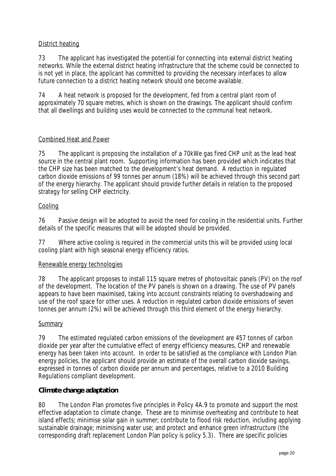#### District heating

73 The applicant has investigated the potential for connecting into external district heating networks. While the external district heating infrastructure that the scheme could be connected to is not yet in place, the applicant has committed to providing the necessary interfaces to allow future connection to a district heating network should one become available.

74 A heat network is proposed for the development, fed from a central plant room of approximately 70 square metres, which is shown on the drawings. The applicant should confirm that all dwellings and building uses would be connected to the communal heat network.

#### Combined Heat and Power

75 The applicant is proposing the installation of a 70kWe gas fired CHP unit as the lead heat source in the central plant room. Supporting information has been provided which indicates that the CHP size has been matched to the development's heat demand. A reduction in regulated carbon dioxide emissions of 99 tonnes per annum (18%) will be achieved through this second part of the energy hierarchy. The applicant should provide further details in relation to the proposed strategy for selling CHP electricity.

#### Cooling

76 Passive design will be adopted to avoid the need for cooling in the residential units. Further details of the specific measures that will be adopted should be provided.

77 Where active cooling is required in the commercial units this will be provided using local cooling plant with high seasonal energy efficiency ratios.

#### Renewable energy technologies

78 The applicant proposes to install 115 square metres of photovoltaic panels (PV) on the roof of the development. The location of the PV panels is shown on a drawing. The use of PV panels appears to have been maximised, taking into account constraints relating to overshadowing and use of the roof space for other uses. A reduction in regulated carbon dioxide emissions of seven tonnes per annum (2%) will be achieved through this third element of the energy hierarchy.

#### **Summary**

79 The estimated regulated carbon emissions of the development are 457 tonnes of carbon dioxide per year after the cumulative effect of energy efficiency measures, CHP and renewable energy has been taken into account. In order to be satisfied as the compliance with London Plan energy policies, the applicant should provide an estimate of the overall carbon dioxide savings, expressed in tonnes of carbon dioxide per annum and percentages, relative to a 2010 Building Regulations compliant development.

#### **Climate change adaptation**

80 The London Plan promotes five principles in Policy 4A.9 to promote and support the most effective adaptation to climate change. These are to minimise overheating and contribute to heat island effects; minimise solar gain in summer; contribute to flood risk reduction, including applying sustainable drainage; minimising water use; and protect and enhance green infrastructure (the corresponding draft replacement London Plan policy is policy 5.3). There are specific policies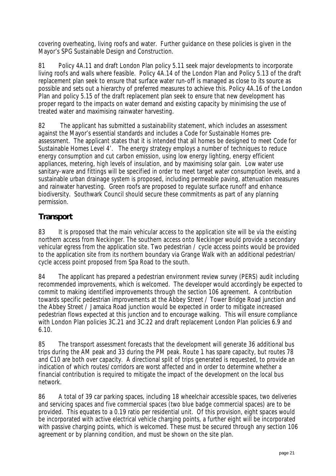covering overheating, living roofs and water. Further guidance on these policies is given in the Mayor's SPG Sustainable Design and Construction.

81 Policy 4A.11 and draft London Plan policy 5.11 seek major developments to incorporate living roofs and walls where feasible. Policy 4A.14 of the London Plan and Policy 5.13 of the draft replacement plan seek to ensure that surface water run-off is managed as close to its source as possible and sets out a hierarchy of preferred measures to achieve this. Policy 4A.16 of the London Plan and policy 5.15 of the draft replacement plan seek to ensure that new development has proper regard to the impacts on water demand and existing capacity by minimising the use of treated water and maximising rainwater harvesting.

82 The applicant has submitted a sustainability statement, which includes an assessment against the Mayor's essential standards and includes a Code for Sustainable Homes preassessment. The applicant states that it is intended that all homes be designed to meet Code for Sustainable Homes Level 4'. The energy strategy employs a number of techniques to reduce energy consumption and cut carbon emission, using low energy lighting, energy efficient appliances, metering, high levels of insulation, and by maximising solar gain. Low water use sanitary-ware and fittings will be specified in order to meet target water consumption levels, and a sustainable urban drainage system is proposed, including permeable paving, attenuation measures and rainwater harvesting. Green roofs are proposed to regulate surface runoff and enhance biodiversity. Southwark Council should secure these commitments as part of any planning permission.

# **Transport**

83 It is proposed that the main vehicular access to the application site will be via the existing northern access from Neckinger. The southern access onto Neckinger would provide a secondary vehicular egress from the application site. Two pedestrian / cycle access points would be provided to the application site from its northern boundary via Grange Walk with an additional pedestrian/ cycle access point proposed from Spa Road to the south.

84 The applicant has prepared a pedestrian environment review survey (PERS) audit including recommended improvements, which is welcomed. The developer would accordingly be expected to commit to making identified improvements through the section 106 agreement. A contribution towards specific pedestrian improvements at the Abbey Street / Tower Bridge Road junction and the Abbey Street / Jamaica Road junction would be expected in order to mitigate increased pedestrian flows expected at this junction and to encourage walking. This will ensure compliance with London Plan policies 3C.21 and 3C.22 and draft replacement London Plan policies 6.9 and 6.10.

85 The transport assessment forecasts that the development will generate 36 additional bus trips during the AM peak and 33 during the PM peak. Route 1 has spare capacity, but routes 78 and C10 are both over capacity. A directional split of trips generated is requested, to provide an indication of which routes/corridors are worst affected and in order to determine whether a financial contribution is required to mitigate the impact of the development on the local bus network.

86 A total of 39 car parking spaces, including 18 wheelchair accessible spaces, two deliveries and servicing spaces and five commercial spaces (two blue badge commercial spaces) are to be provided. This equates to a 0.19 ratio per residential unit. Of this provision, eight spaces would be incorporated with active electrical vehicle charging points, a further eight will be incorporated with passive charging points, which is welcomed. These must be secured through any section 106 agreement or by planning condition, and must be shown on the site plan.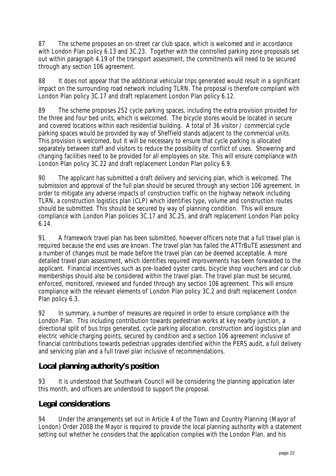87 The scheme proposes an on-street car club space, which is welcomed and in accordance with London Plan policy 6.13 and 3C.23. Together with the controlled parking zone proposals set out within paragraph 4.19 of the transport assessment, the commitments will need to be secured through any section 106 agreement.

88 It does not appear that the additional vehicular trips generated would result in a significant impact on the surrounding road network including TLRN. The proposal is therefore compliant with London Plan policy 3C.17 and draft replacement London Plan policy 6.12.

89 The scheme proposes 252 cycle parking spaces, including the extra provision provided for the three and four bed units, which is welcomed. The bicycle stores would be located in secure and covered locations within each residential building. A total of 36 visitor / commercial cycle parking spaces would be provided by way of Sheffield stands adjacent to the commercial units. This provision is welcomed, but it will be necessary to ensure that cycle parking is allocated separately between staff and visitors to reduce the possibility of conflict of uses. Showering and changing facilities need to be provided for all employees on site. This will ensure compliance with London Plan policy 3C.22 and draft replacement London Plan policy 6.9.

90 The applicant has submitted a draft delivery and servicing plan, which is welcomed. The submission and approval of the full plan should be secured through any section 106 agreement. In order to mitigate any adverse impacts of construction traffic on the highway network including TLRN, a construction logistics plan (CLP) which identifies type, volume and construction routes should be submitted. This should be secured by way of planning condition. This will ensure compliance with London Plan policies 3C.17 and 3C.25, and draft replacement London Plan policy 6.14.

91 A framework travel plan has been submitted, however officers note that a full travel plan is required because the end uses are known. The travel plan has failed the ATTrBuTE assessment and a number of changes must be made before the travel plan can be deemed acceptable. A more detailed travel plan assessment, which identifies required improvements has been forwarded to the applicant. Financial incentives such as pre-loaded oyster cards, bicycle shop vouchers and car club memberships should also be considered within the travel plan. The travel plan must be secured, enforced, monitored, reviewed and funded through any section 106 agreement. This will ensure compliance with the relevant elements of London Plan policy 3C.2 and draft replacement London Plan policy 6.3.

92 In summary, a number of measures are required in order to ensure compliance with the London Plan. This including contribution towards pedestrian works at key nearby junction, a directional split of bus trips generated, cycle parking allocation, construction and logistics plan and electric vehicle charging points, secured by condition and a section 106 agreement inclusive of financial contributions towards pedestrian upgrades identified within the PERS audit, a full delivery and servicing plan and a full travel plan inclusive of recommendations.

# **Local planning authority's position**

93 It is understood that Southwark Council will be considering the planning application later this month, and officers are understood to support the proposal.

# **Legal considerations**

94 Under the arrangements set out in Article 4 of the Town and Country Planning (Mayor of London) Order 2008 the Mayor is required to provide the local planning authority with a statement setting out whether he considers that the application complies with the London Plan, and his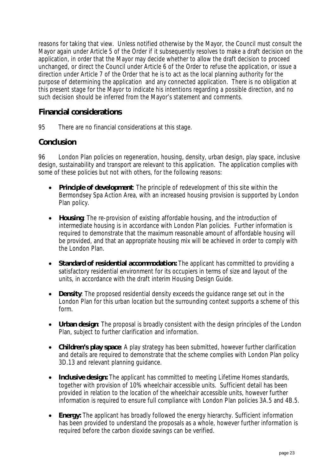reasons for taking that view. Unless notified otherwise by the Mayor, the Council must consult the Mayor again under Article 5 of the Order if it subsequently resolves to make a draft decision on the application, in order that the Mayor may decide whether to allow the draft decision to proceed unchanged, or direct the Council under Article 6 of the Order to refuse the application, or issue a direction under Article 7 of the Order that he is to act as the local planning authority for the purpose of determining the application and any connected application. There is no obligation at this present stage for the Mayor to indicate his intentions regarding a possible direction, and no such decision should be inferred from the Mayor's statement and comments.

## **Financial considerations**

95 There are no financial considerations at this stage.

## **Conclusion**

96 London Plan policies on regeneration, housing, density, urban design, play space, inclusive design, sustainability and transport are relevant to this application. The application complies with some of these policies but not with others, for the following reasons:

- **Principle of development**: The principle of redevelopment of this site within the Bermondsey Spa Action Area, with an increased housing provision is supported by London Plan policy.
- **Housing**: The re-provision of existing affordable housing, and the introduction of intermediate housing is in accordance with London Plan policies. Further information is required to demonstrate that the maximum reasonable amount of affordable housing will be provided, and that an appropriate housing mix will be achieved in order to comply with the London Plan.
- **Standard of residential accommodation:** The applicant has committed to providing a satisfactory residential environment for its occupiers in terms of size and layout of the units, in accordance with the draft interim Housing Design Guide.
- **Density**: The proposed residential density exceeds the guidance range set out in the London Plan for this urban location but the surrounding context supports a scheme of this form.
- **Urban design**: The proposal is broadly consistent with the design principles of the London Plan, subject to further clarification and information.
- **Children's play space**: A play strategy has been submitted, however further clarification and details are required to demonstrate that the scheme complies with London Plan policy 3D.13 and relevant planning guidance.
- **Inclusive design:** The applicant has committed to meeting Lifetime Homes standards, together with provision of 10% wheelchair accessible units. Sufficient detail has been provided in relation to the location of the wheelchair accessible units, however further information is required to ensure full compliance with London Plan policies 3A.5 and 4B.5.
- **Energy:** The applicant has broadly followed the energy hierarchy. Sufficient information has been provided to understand the proposals as a whole, however further information is required before the carbon dioxide savings can be verified.